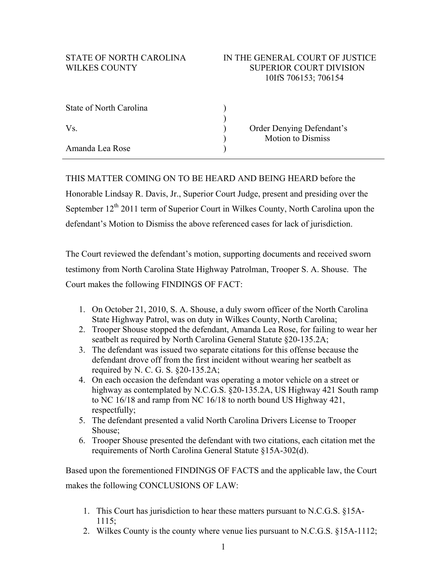| State of North Carolina |                           |
|-------------------------|---------------------------|
|                         |                           |
| Vs.                     | Order Denying Defendant's |
|                         | <b>Motion to Dismiss</b>  |
| Amanda Lea Rose         |                           |

THIS MATTER COMING ON TO BE HEARD AND BEING HEARD before the Honorable Lindsay R. Davis, Jr., Superior Court Judge, present and presiding over the September 12<sup>th</sup> 2011 term of Superior Court in Wilkes County, North Carolina upon the defendant's Motion to Dismiss the above referenced cases for lack of jurisdiction.

The Court reviewed the defendant's motion, supporting documents and received sworn testimony from North Carolina State Highway Patrolman, Trooper S. A. Shouse. The Court makes the following FINDINGS OF FACT:

- 1. On October 21, 2010, S. A. Shouse, a duly sworn officer of the North Carolina State Highway Patrol, was on duty in Wilkes County, North Carolina;
- 2. Trooper Shouse stopped the defendant, Amanda Lea Rose, for failing to wear her seatbelt as required by North Carolina General Statute §20-135.2A;
- 3. The defendant was issued two separate citations for this offense because the defendant drove off from the first incident without wearing her seatbelt as required by N. C. G. S. §20-135.2A;
- 4. On each occasion the defendant was operating a motor vehicle on a street or highway as contemplated by N.C.G.S. §20-135.2A, US Highway 421 South ramp to NC 16/18 and ramp from NC 16/18 to north bound US Highway 421, respectfully;
- 5. The defendant presented a valid North Carolina Drivers License to Trooper Shouse;
- 6. Trooper Shouse presented the defendant with two citations, each citation met the requirements of North Carolina General Statute §15A-302(d).

Based upon the forementioned FINDINGS OF FACTS and the applicable law, the Court makes the following CONCLUSIONS OF LAW:

- 1. This Court has jurisdiction to hear these matters pursuant to N.C.G.S. §15A-1115;
- 2. Wilkes County is the county where venue lies pursuant to N.C.G.S. §15A-1112;